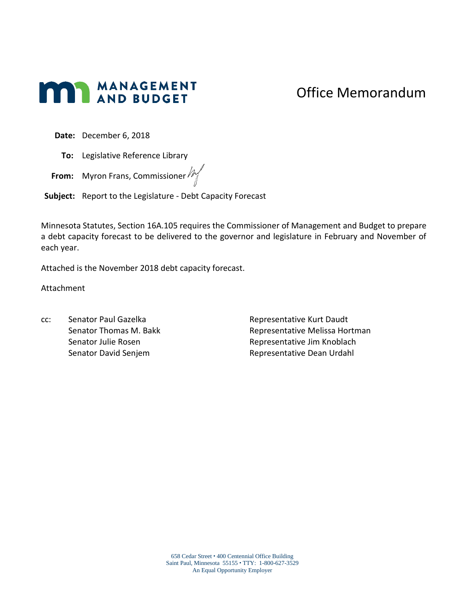# **MANAGEMENT**

## Office Memorandum

**Date:** December 6, 2018

**To:** Legislative Reference Library

**From:** Myron Frans, Commissioner  $\mathbb{M}$ 

**Subject:** Report to the Legislature - Debt Capacity Forecast

Minnesota Statutes, Section 16A.105 requires the Commissioner of Management and Budget to prepare a debt capacity forecast to be delivered to the governor and legislature in February and November of each year.

Attached is the November 2018 debt capacity forecast.

Attachment

cc: Senator Paul Gazelka Senator Thomas M. Bakk Senator Julie Rosen Senator David Senjem

Representative Kurt Daudt Representative Melissa Hortman Representative Jim Knoblach Representative Dean Urdahl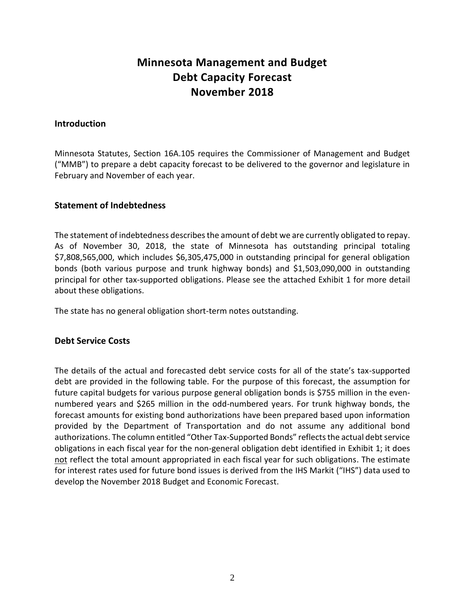### **Minnesota Management and Budget Debt Capacity Forecast November 2018**

#### **Introduction**

Minnesota Statutes, Section 16A.105 requires the Commissioner of Management and Budget ("MMB") to prepare a debt capacity forecast to be delivered to the governor and legislature in February and November of each year.

#### **Statement of Indebtedness**

The statement of indebtedness describes the amount of debt we are currently obligated to repay. As of November 30, 2018, the state of Minnesota has outstanding principal totaling \$7,808,565,000, which includes \$6,305,475,000 in outstanding principal for general obligation bonds (both various purpose and trunk highway bonds) and \$1,503,090,000 in outstanding principal for other tax-supported obligations. Please see the attached Exhibit 1 for more detail about these obligations.

The state has no general obligation short-term notes outstanding.

#### **Debt Service Costs**

The details of the actual and forecasted debt service costs for all of the state's tax-supported debt are provided in the following table. For the purpose of this forecast, the assumption for future capital budgets for various purpose general obligation bonds is \$755 million in the evennumbered years and \$265 million in the odd-numbered years. For trunk highway bonds, the forecast amounts for existing bond authorizations have been prepared based upon information provided by the Department of Transportation and do not assume any additional bond authorizations. The column entitled "Other Tax-Supported Bonds" reflects the actual debt service obligations in each fiscal year for the non-general obligation debt identified in Exhibit 1; it does not reflect the total amount appropriated in each fiscal year for such obligations. The estimate for interest rates used for future bond issues is derived from the IHS Markit ("IHS") data used to develop the November 2018 Budget and Economic Forecast.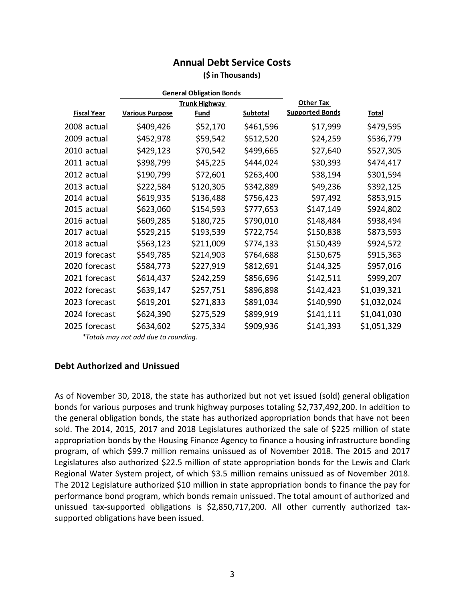## **Annual Debt Service Costs**

#### **(\$ in Thousands)**

| <b>General Obligation Bonds</b> |                        |                      |           |                        |             |
|---------------------------------|------------------------|----------------------|-----------|------------------------|-------------|
|                                 |                        | <b>Trunk Highway</b> |           | <b>Other Tax</b>       |             |
| <b>Fiscal Year</b>              | <b>Various Purpose</b> | <b>Fund</b>          | Subtotal  | <b>Supported Bonds</b> | Total       |
| 2008 actual                     | \$409,426              | \$52,170             | \$461,596 | \$17,999               | \$479,595   |
| 2009 actual                     | \$452,978              | \$59,542             | \$512,520 | \$24,259               | \$536,779   |
| 2010 actual                     | \$429,123              | \$70,542             | \$499,665 | \$27,640               | \$527,305   |
| 2011 actual                     | \$398,799              | \$45,225             | \$444,024 | \$30,393               | \$474,417   |
| 2012 actual                     | \$190,799              | \$72,601             | \$263,400 | \$38,194               | \$301,594   |
| 2013 actual                     | \$222,584              | \$120,305            | \$342,889 | \$49,236               | \$392,125   |
| 2014 actual                     | \$619,935              | \$136,488            | \$756,423 | \$97,492               | \$853,915   |
| 2015 actual                     | \$623,060              | \$154,593            | \$777,653 | \$147,149              | \$924,802   |
| 2016 actual                     | \$609,285              | \$180,725            | \$790,010 | \$148,484              | \$938,494   |
| 2017 actual                     | \$529,215              | \$193,539            | \$722,754 | \$150,838              | \$873,593   |
| 2018 actual                     | \$563,123              | \$211,009            | \$774,133 | \$150,439              | \$924,572   |
| 2019 forecast                   | \$549,785              | \$214,903            | \$764,688 | \$150,675              | \$915,363   |
| 2020 forecast                   | \$584,773              | \$227,919            | \$812,691 | \$144,325              | \$957,016   |
| 2021 forecast                   | \$614,437              | \$242,259            | \$856,696 | \$142,511              | \$999,207   |
| 2022 forecast                   | \$639,147              | \$257,751            | \$896,898 | \$142,423              | \$1,039,321 |
| 2023 forecast                   | \$619,201              | \$271,833            | \$891,034 | \$140,990              | \$1,032,024 |
| 2024 forecast                   | \$624,390              | \$275,529            | \$899,919 | \$141,111              | \$1,041,030 |
| 2025 forecast                   | \$634,602              | \$275,334            | \$909,936 | \$141,393              | \$1,051,329 |

*\*Totals may not add due to rounding.*

#### **Debt Authorized and Unissued**

As of November 30, 2018, the state has authorized but not yet issued (sold) general obligation bonds for various purposes and trunk highway purposes totaling \$2,737,492,200. In addition to the general obligation bonds, the state has authorized appropriation bonds that have not been sold. The 2014, 2015, 2017 and 2018 Legislatures authorized the sale of \$225 million of state appropriation bonds by the Housing Finance Agency to finance a housing infrastructure bonding program, of which \$99.7 million remains unissued as of November 2018. The 2015 and 2017 Legislatures also authorized \$22.5 million of state appropriation bonds for the Lewis and Clark Regional Water System project, of which \$3.5 million remains unissued as of November 2018. The 2012 Legislature authorized \$10 million in state appropriation bonds to finance the pay for performance bond program, which bonds remain unissued. The total amount of authorized and unissued tax-supported obligations is \$2,850,717,200. All other currently authorized taxsupported obligations have been issued.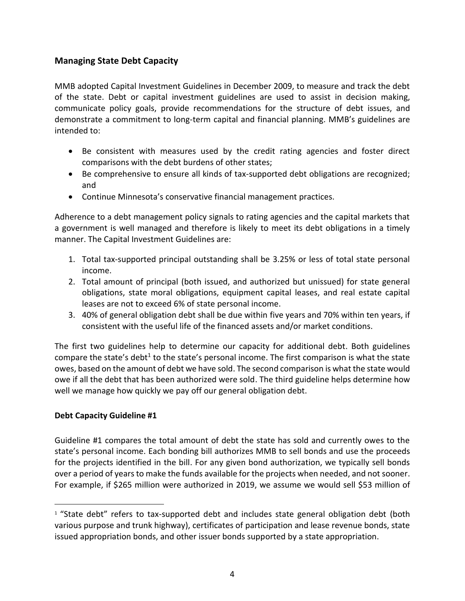#### **Managing State Debt Capacity**

MMB adopted Capital Investment Guidelines in December 2009, to measure and track the debt of the state. Debt or capital investment guidelines are used to assist in decision making, communicate policy goals, provide recommendations for the structure of debt issues, and demonstrate a commitment to long-term capital and financial planning. MMB's guidelines are intended to:

- Be consistent with measures used by the credit rating agencies and foster direct comparisons with the debt burdens of other states;
- Be comprehensive to ensure all kinds of tax-supported debt obligations are recognized; and
- Continue Minnesota's conservative financial management practices.

Adherence to a debt management policy signals to rating agencies and the capital markets that a government is well managed and therefore is likely to meet its debt obligations in a timely manner. The Capital Investment Guidelines are:

- 1. Total tax-supported principal outstanding shall be 3.25% or less of total state personal income.
- 2. Total amount of principal (both issued, and authorized but unissued) for state general obligations, state moral obligations, equipment capital leases, and real estate capital leases are not to exceed 6% of state personal income.
- 3. 40% of general obligation debt shall be due within five years and 70% within ten years, if consistent with the useful life of the financed assets and/or market conditions.

The first two guidelines help to determine our capacity for additional debt. Both guidelines compare the state's debt<sup>1</sup> to the state's personal income. The first comparison is what the state owes, based on the amount of debt we have sold. The second comparison is what the state would owe if all the debt that has been authorized were sold. The third guideline helps determine how well we manage how quickly we pay off our general obligation debt.

#### **Debt Capacity Guideline #1**

 $\overline{a}$ 

Guideline #1 compares the total amount of debt the state has sold and currently owes to the state's personal income. Each bonding bill authorizes MMB to sell bonds and use the proceeds for the projects identified in the bill. For any given bond authorization, we typically sell bonds over a period of years to make the funds available for the projects when needed, and not sooner. For example, if \$265 million were authorized in 2019, we assume we would sell \$53 million of

 $1$  "State debt" refers to tax-supported debt and includes state general obligation debt (both various purpose and trunk highway), certificates of participation and lease revenue bonds, state issued appropriation bonds, and other issuer bonds supported by a state appropriation.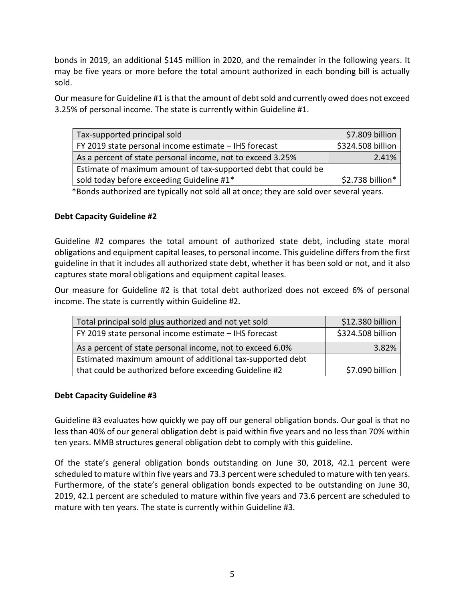bonds in 2019, an additional \$145 million in 2020, and the remainder in the following years. It may be five years or more before the total amount authorized in each bonding bill is actually sold.

Our measure for Guideline #1 is that the amount of debt sold and currently owed does not exceed 3.25% of personal income. The state is currently within Guideline #1.

| Tax-supported principal sold                                   | \$7.809 billion   |  |  |
|----------------------------------------------------------------|-------------------|--|--|
| FY 2019 state personal income estimate - IHS forecast          | \$324.508 billion |  |  |
| As a percent of state personal income, not to exceed 3.25%     | 2.41%             |  |  |
| Estimate of maximum amount of tax-supported debt that could be |                   |  |  |
| sold today before exceeding Guideline #1*                      | \$2.738 billion*  |  |  |

\*Bonds authorized are typically not sold all at once; they are sold over several years.

#### **Debt Capacity Guideline #2**

Guideline #2 compares the total amount of authorized state debt, including state moral obligations and equipment capital leases, to personal income. This guideline differs from the first guideline in that it includes all authorized state debt, whether it has been sold or not, and it also captures state moral obligations and equipment capital leases.

Our measure for Guideline #2 is that total debt authorized does not exceed 6% of personal income. The state is currently within Guideline #2.

| Total principal sold plus authorized and not yet sold     | \$12.380 billion  |  |  |  |
|-----------------------------------------------------------|-------------------|--|--|--|
| FY 2019 state personal income estimate – IHS forecast     | \$324.508 billion |  |  |  |
| As a percent of state personal income, not to exceed 6.0% | 3.82%             |  |  |  |
| Estimated maximum amount of additional tax-supported debt |                   |  |  |  |
| that could be authorized before exceeding Guideline #2    | \$7.090 billion   |  |  |  |

#### **Debt Capacity Guideline #3**

Guideline #3 evaluates how quickly we pay off our general obligation bonds. Our goal is that no less than 40% of our general obligation debt is paid within five years and no less than 70% within ten years. MMB structures general obligation debt to comply with this guideline.

Of the state's general obligation bonds outstanding on June 30, 2018, 42.1 percent were scheduled to mature within five years and 73.3 percent were scheduled to mature with ten years. Furthermore, of the state's general obligation bonds expected to be outstanding on June 30, 2019, 42.1 percent are scheduled to mature within five years and 73.6 percent are scheduled to mature with ten years. The state is currently within Guideline #3.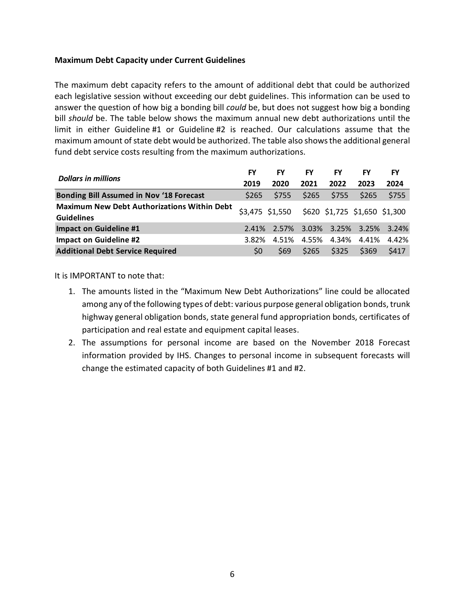#### **Maximum Debt Capacity under Current Guidelines**

The maximum debt capacity refers to the amount of additional debt that could be authorized each legislative session without exceeding our debt guidelines. This information can be used to answer the question of how big a bonding bill *could* be, but does not suggest how big a bonding bill *should* be. The table below shows the maximum annual new debt authorizations until the limit in either Guideline #1 or Guideline #2 is reached. Our calculations assume that the maximum amount of state debt would be authorized. The table also shows the additional general fund debt service costs resulting from the maximum authorizations.

|                                                                         |                  | FY                                            | FY          | FY          | FY    | FY    |
|-------------------------------------------------------------------------|------------------|-----------------------------------------------|-------------|-------------|-------|-------|
| <b>Dollars in millions</b>                                              | 2019             | 2020                                          | 2021        | 2022        | 2023  | 2024  |
| <b>Bonding Bill Assumed in Nov '18 Forecast</b>                         | S <sub>265</sub> | \$755                                         | \$265       | \$755       | \$265 | \$755 |
| <b>Maximum New Debt Authorizations Within Debt</b><br><b>Guidelines</b> |                  | \$3,475 \$1,550 \$620 \$1,725 \$1,650 \$1,300 |             |             |       |       |
| <b>Impact on Guideline #1</b>                                           |                  | 2.41% 2.57% 3.03% 3.25% 3.25% 3.24%           |             |             |       |       |
| <b>Impact on Guideline #2</b>                                           | 3.82%            | 4.51%                                         |             | 4.55% 4.34% | 4.41% | 4.42% |
| <b>Additional Debt Service Required</b>                                 | S <sub>0</sub>   | S <sub>69</sub>                               | <b>S265</b> | \$325       | \$369 | \$417 |

It is IMPORTANT to note that:

- 1. The amounts listed in the "Maximum New Debt Authorizations" line could be allocated among any of the following types of debt: various purpose general obligation bonds, trunk highway general obligation bonds, state general fund appropriation bonds, certificates of participation and real estate and equipment capital leases.
- 2. The assumptions for personal income are based on the November 2018 Forecast information provided by IHS. Changes to personal income in subsequent forecasts will change the estimated capacity of both Guidelines #1 and #2.